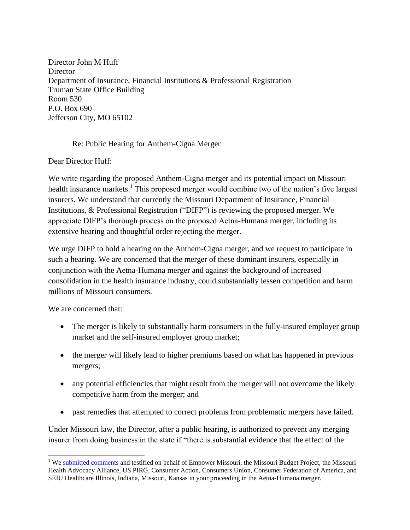Director John M Huff **Director** Department of Insurance, Financial Institutions & Professional Registration Truman State Office Building Room 530 P.O. Box 690 Jefferson City, MO 65102

## Re: Public Hearing for Anthem-Cigna Merger

Dear Director Huff:

We write regarding the proposed Anthem-Cigna merger and its potential impact on Missouri health insurance markets.<sup>1</sup> This proposed merger would combine two of the nation's five largest insurers. We understand that currently the Missouri Department of Insurance, Financial Institutions, & Professional Registration ("DIFP") is reviewing the proposed merger. We appreciate DIFP's thorough process on the proposed Aetna-Humana merger, including its extensive hearing and thoughtful order rejecting the merger.

We urge DIFP to hold a hearing on the Anthem-Cigna merger, and we request to participate in such a hearing. We are concerned that the merger of these dominant insurers, especially in conjunction with the Aetna-Humana merger and against the background of increased consolidation in the health insurance industry, could substantially lessen competition and harm millions of Missouri consumers.

We are concerned that:

- The merger is likely to substantially harm consumers in the fully-insured employer group market and the self-insured employer group market;
- the merger will likely lead to higher premiums based on what has happened in previous mergers;
- any potential efficiencies that might result from the merger will not overcome the likely competitive harm from the merger; and
- past remedies that attempted to correct problems from problematic mergers have failed.

Under Missouri law, the Director, after a public hearing, is authorized to prevent any merging insurer from doing business in the state if "there is substantial evidence that the effect of the

 $\overline{\phantom{a}}$ <sup>1</sup> We [submitted comments](http://www.thecppc.com/#!missouri-comments/m5y0o) and testified on behalf of Empower Missouri, the Missouri Budget Project, the Missouri Health Advocacy Alliance, US PIRG, Consumer Action, Consumers Union, Consumer Federation of America, and SEIU Healthcare Illinois, Indiana, Missouri, Kansas in your proceeding in the Aetna-Humana merger.